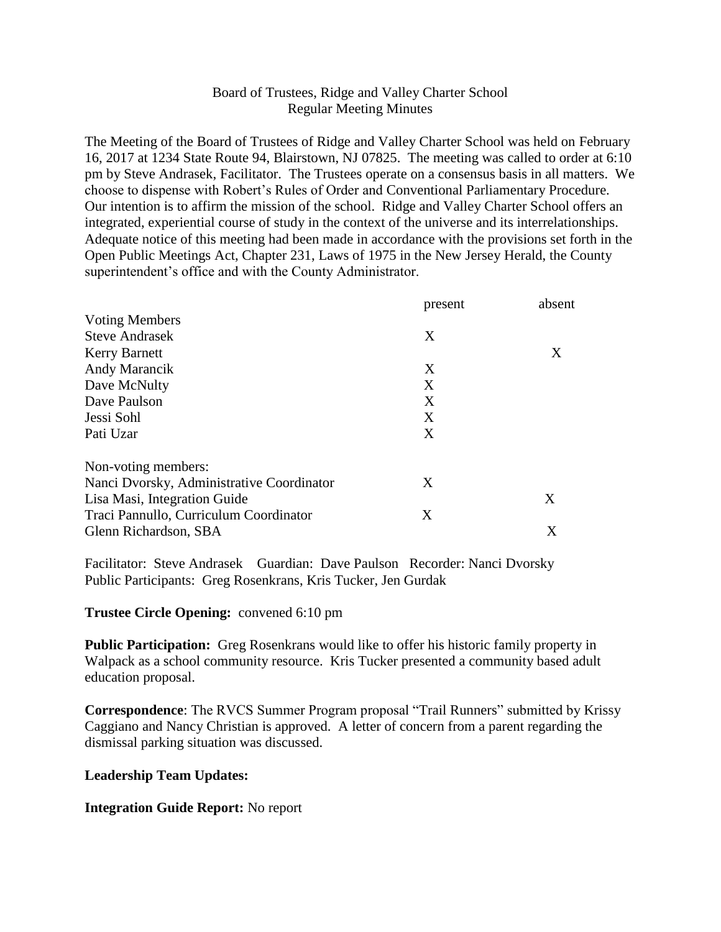# Board of Trustees, Ridge and Valley Charter School Regular Meeting Minutes

The Meeting of the Board of Trustees of Ridge and Valley Charter School was held on February 16, 2017 at 1234 State Route 94, Blairstown, NJ 07825. The meeting was called to order at 6:10 pm by Steve Andrasek, Facilitator. The Trustees operate on a consensus basis in all matters. We choose to dispense with Robert's Rules of Order and Conventional Parliamentary Procedure. Our intention is to affirm the mission of the school. Ridge and Valley Charter School offers an integrated, experiential course of study in the context of the universe and its interrelationships. Adequate notice of this meeting had been made in accordance with the provisions set forth in the Open Public Meetings Act, Chapter 231, Laws of 1975 in the New Jersey Herald, the County superintendent's office and with the County Administrator.

|                                           | present | absent |
|-------------------------------------------|---------|--------|
| <b>Voting Members</b>                     |         |        |
| <b>Steve Andrasek</b>                     | X       |        |
| <b>Kerry Barnett</b>                      |         | X      |
| Andy Marancik                             | X       |        |
| Dave McNulty                              | X       |        |
| Dave Paulson                              | X       |        |
| Jessi Sohl                                | X       |        |
| Pati Uzar                                 | X       |        |
| Non-voting members:                       |         |        |
| Nanci Dvorsky, Administrative Coordinator | X       |        |
| Lisa Masi, Integration Guide              |         | X      |
| Traci Pannullo, Curriculum Coordinator    | X       |        |
| Glenn Richardson, SBA                     |         | X      |

Facilitator: Steve Andrasek Guardian: Dave Paulson Recorder: Nanci Dvorsky Public Participants: Greg Rosenkrans, Kris Tucker, Jen Gurdak

### **Trustee Circle Opening:** convened 6:10 pm

**Public Participation:** Greg Rosenkrans would like to offer his historic family property in Walpack as a school community resource. Kris Tucker presented a community based adult education proposal.

**Correspondence**: The RVCS Summer Program proposal "Trail Runners" submitted by Krissy Caggiano and Nancy Christian is approved. A letter of concern from a parent regarding the dismissal parking situation was discussed.

### **Leadership Team Updates:**

### **Integration Guide Report:** No report